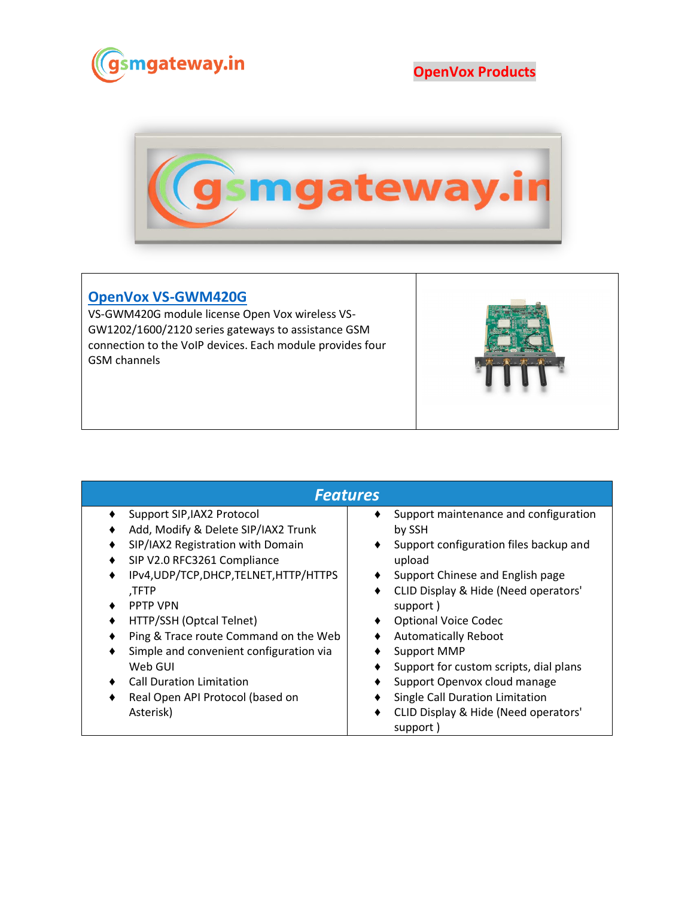

**OpenVox Products**



## **[OpenVox VS-GWM420G](https://www.gsmgateway.in/openvox/VS-GWM420G.html)**

VS-GWM420G module license Open Vox wireless VS-GW1202/1600/2120 series gateways to assistance GSM connection to the VoIP devices. Each module provides four GSM channels



| <b>Features</b>                         |                                                       |  |  |  |
|-----------------------------------------|-------------------------------------------------------|--|--|--|
| Support SIP, IAX2 Protocol              | Support maintenance and configuration<br>٠            |  |  |  |
| Add, Modify & Delete SIP/IAX2 Trunk     | by SSH                                                |  |  |  |
| SIP/IAX2 Registration with Domain       | Support configuration files backup and<br>٠           |  |  |  |
| SIP V2.0 RFC3261 Compliance             | upload                                                |  |  |  |
| IPv4, UDP/TCP, DHCP, TELNET, HTTP/HTTPS | Support Chinese and English page                      |  |  |  |
| ,TFTP                                   | CLID Display & Hide (Need operators'<br>٠             |  |  |  |
| <b>PPTP VPN</b>                         | support)                                              |  |  |  |
| HTTP/SSH (Optcal Telnet)                | <b>Optional Voice Codec</b>                           |  |  |  |
| Ping & Trace route Command on the Web   | <b>Automatically Reboot</b>                           |  |  |  |
| Simple and convenient configuration via | Support MMP                                           |  |  |  |
| Web GUI                                 | Support for custom scripts, dial plans                |  |  |  |
| <b>Call Duration Limitation</b>         | Support Openvox cloud manage                          |  |  |  |
| Real Open API Protocol (based on        | Single Call Duration Limitation<br>٠                  |  |  |  |
| Asterisk)                               | CLID Display & Hide (Need operators'<br>٠<br>support) |  |  |  |